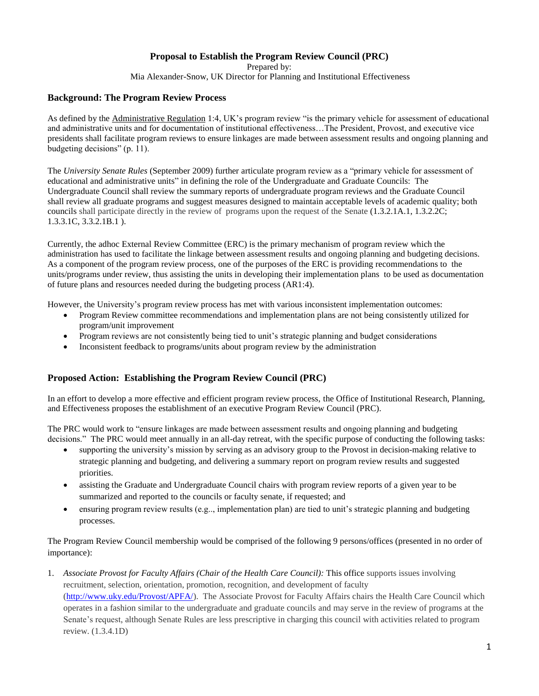## **Proposal to Establish the Program Review Council (PRC)**

Prepared by:

Mia Alexander-Snow, UK Director for Planning and Institutional Effectiveness

## **Background: The Program Review Process**

As defined by the Administrative Regulation 1:4, UK's program review "is the primary vehicle for assessment of educational and administrative units and for documentation of institutional effectiveness…The President, Provost, and executive vice presidents shall facilitate program reviews to ensure linkages are made between assessment results and ongoing planning and budgeting decisions" (p. 11).

The *University Senate Rules* (September 2009) further articulate program review as a "primary vehicle for assessment of educational and administrative units" in defining the role of the Undergraduate and Graduate Councils: The Undergraduate Council shall review the summary reports of undergraduate program reviews and the Graduate Council shall review all graduate programs and suggest measures designed to maintain acceptable levels of academic quality; both councils shall participate directly in the review of programs upon the request of the Senate (1.3.2.1A.1, 1.3.2.2C; 1.3.3.1C, 3.3.2.1B.1 ).

Currently, the adhoc External Review Committee (ERC) is the primary mechanism of program review which the administration has used to facilitate the linkage between assessment results and ongoing planning and budgeting decisions. As a component of the program review process, one of the purposes of the ERC is providing recommendations to the units/programs under review, thus assisting the units in developing their implementation plans to be used as documentation of future plans and resources needed during the budgeting process (AR1:4).

However, the University's program review process has met with various inconsistent implementation outcomes:

- Program Review committee recommendations and implementation plans are not being consistently utilized for program/unit improvement
- Program reviews are not consistently being tied to unit's strategic planning and budget considerations
- Inconsistent feedback to programs/units about program review by the administration

## **Proposed Action: Establishing the Program Review Council (PRC)**

In an effort to develop a more effective and efficient program review process, the Office of Institutional Research, Planning, and Effectiveness proposes the establishment of an executive Program Review Council (PRC).

The PRC would work to "ensure linkages are made between assessment results and ongoing planning and budgeting decisions." The PRC would meet annually in an all-day retreat, with the specific purpose of conducting the following tasks:

- supporting the university's mission by serving as an advisory group to the Provost in decision-making relative to strategic planning and budgeting, and delivering a summary report on program review results and suggested priorities.
- assisting the Graduate and Undergraduate Council chairs with program review reports of a given year to be summarized and reported to the councils or faculty senate, if requested; and
- ensuring program review results (e.g.., implementation plan) are tied to unit's strategic planning and budgeting processes.

The Program Review Council membership would be comprised of the following 9 persons/offices (presented in no order of importance):

1. *Associate Provost for Faculty Affairs (Chair of the Health Care Council):* This office supports issues involving recruitment, selection, orientation, promotion, recognition, and development of faculty [\(http://www.uky.edu/Provost/APFA/\)](http://www.uky.edu/Provost/APFA/). The Associate Provost for Faculty Affairs chairs the Health Care Council which operates in a fashion similar to the undergraduate and graduate councils and may serve in the review of programs at the Senate's request, although Senate Rules are less prescriptive in charging this council with activities related to program review. (1.3.4.1D)